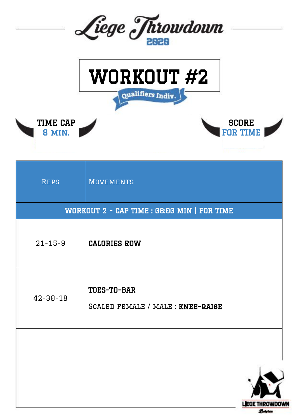



**SCORE** FOR TIME

> **LEGE THROWDOWN** *<u>Esistem</u>*



| <b>REPS</b>                                 | <b>MOVEMENTS</b>                                 |  |  |  |
|---------------------------------------------|--------------------------------------------------|--|--|--|
| WORKOUT 2 - CAP TIME : 08:00 MIN   FOR TIME |                                                  |  |  |  |
| $21 - 15 - 9$                               | <b>CALORIES ROW</b>                              |  |  |  |
| $42 - 30 - 18$                              | TOES-TO-BAR<br>SCALED FEMALE / MALE : KNEE-RAISE |  |  |  |
|                                             |                                                  |  |  |  |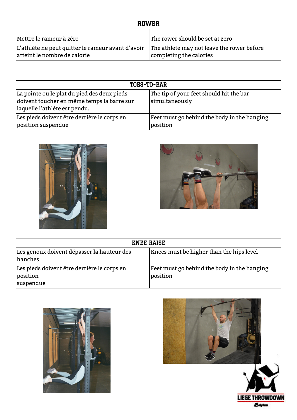| <b>ROWER</b>                                                                      |                                                                       |  |  |  |
|-----------------------------------------------------------------------------------|-----------------------------------------------------------------------|--|--|--|
| Mettre le rameur à zéro                                                           | The rower should be set at zero                                       |  |  |  |
| L'athlète ne peut quitter le rameur avant d'avoir<br>atteint le nombre de calorie | The athlete may not leave the rower before<br>completing the calories |  |  |  |
|                                                                                   |                                                                       |  |  |  |

| <b>TOES-TO-BAR</b>                          |                                             |  |  |  |
|---------------------------------------------|---------------------------------------------|--|--|--|
| La pointe ou le plat du pied des deux pieds | The tip of your feet should hit the bar     |  |  |  |
| doivent toucher en même temps la barre sur  | simultaneously                              |  |  |  |
| laquelle l'athlète est pendu.               |                                             |  |  |  |
| Les pieds doivent être derrière le corps en | Feet must go behind the body in the hanging |  |  |  |
| position suspendue                          | position                                    |  |  |  |





| <b>KNEE RAISE</b>                           |                                             |  |  |  |
|---------------------------------------------|---------------------------------------------|--|--|--|
| Les genoux doivent dépasser la hauteur des  | Knees must be higher than the hips level    |  |  |  |
| hanches                                     |                                             |  |  |  |
| Les pieds doivent être derrière le corps en | Feet must go behind the body in the hanging |  |  |  |
| position                                    | position                                    |  |  |  |
| suspendue                                   |                                             |  |  |  |